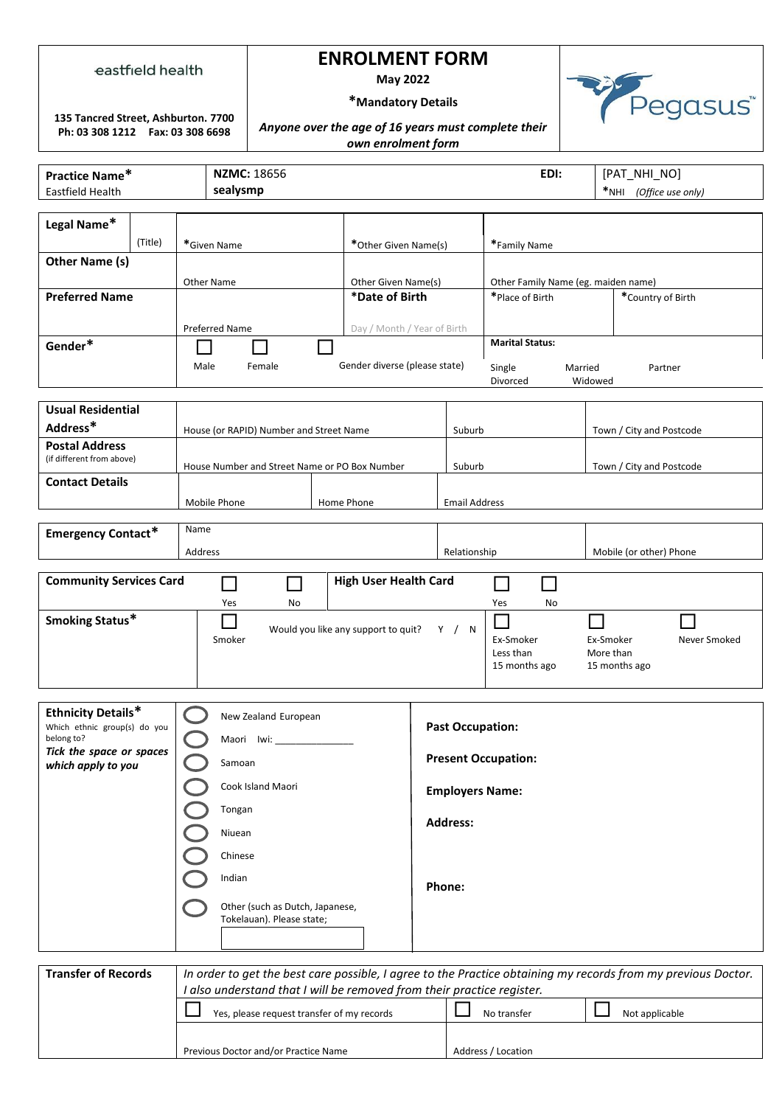#### eastfield health

# **ENROLMENT FORM**

**May 2022**

Pegasus<sup>"</sup>

## **\*Mandatory Details**

**135 Tancred Street, Ashburton. 7700 Ph: 03 308 1212 Fax: 03 308 6698**

### *Anyone over the age of 16 years must complete their own enrolment form*

| Practice Name*                         |  |                                         | <b>NZMC: 18656</b><br>EDI:                      |                                    |                                           |                        |                                     | [PAT_NHI_NO]                                        |                          |                          |  |
|----------------------------------------|--|-----------------------------------------|-------------------------------------------------|------------------------------------|-------------------------------------------|------------------------|-------------------------------------|-----------------------------------------------------|--------------------------|--------------------------|--|
| Eastfield Health                       |  | sealysmp                                |                                                 |                                    |                                           |                        | *NHI (Office use only)              |                                                     |                          |                          |  |
|                                        |  |                                         |                                                 |                                    |                                           |                        |                                     |                                                     |                          |                          |  |
| Legal Name*                            |  |                                         |                                                 |                                    |                                           |                        |                                     |                                                     |                          |                          |  |
| (Title)                                |  |                                         | *Given Name                                     |                                    |                                           | *Other Given Name(s)   |                                     | *Family Name                                        |                          |                          |  |
| Other Name (s)                         |  |                                         |                                                 |                                    |                                           |                        |                                     |                                                     |                          |                          |  |
|                                        |  | Other Name                              |                                                 |                                    | Other Given Name(s)                       |                        | Other Family Name (eg. maiden name) |                                                     |                          |                          |  |
| <b>Preferred Name</b>                  |  |                                         |                                                 |                                    | *Date of Birth                            |                        | *Place of Birth                     |                                                     | *Country of Birth        |                          |  |
|                                        |  |                                         |                                                 |                                    |                                           |                        |                                     |                                                     |                          |                          |  |
|                                        |  | <b>Preferred Name</b>                   |                                                 | Day / Month / Year of Birth        |                                           | <b>Marital Status:</b> |                                     |                                                     |                          |                          |  |
| Gender*                                |  |                                         |                                                 |                                    |                                           |                        |                                     |                                                     |                          |                          |  |
|                                        |  |                                         | Gender diverse (please state)<br>Male<br>Female |                                    |                                           |                        |                                     | Single<br>Married<br>Partner<br>Divorced<br>Widowed |                          |                          |  |
|                                        |  |                                         |                                                 |                                    |                                           |                        |                                     |                                                     |                          |                          |  |
| <b>Usual Residential</b>               |  |                                         |                                                 |                                    |                                           |                        |                                     |                                                     |                          |                          |  |
| Address*                               |  | House (or RAPID) Number and Street Name |                                                 |                                    | Suburb                                    |                        |                                     |                                                     | Town / City and Postcode |                          |  |
| <b>Postal Address</b>                  |  |                                         |                                                 |                                    |                                           |                        |                                     |                                                     |                          |                          |  |
| (if different from above)              |  |                                         | House Number and Street Name or PO Box Number   |                                    |                                           | Suburb                 |                                     |                                                     |                          | Town / City and Postcode |  |
| <b>Contact Details</b>                 |  |                                         |                                                 |                                    |                                           |                        |                                     |                                                     |                          |                          |  |
| Mobile Phone                           |  |                                         |                                                 | Home Phone<br><b>Email Address</b> |                                           |                        |                                     |                                                     |                          |                          |  |
|                                        |  |                                         |                                                 |                                    |                                           |                        |                                     |                                                     |                          |                          |  |
| <b>Emergency Contact*</b>              |  | Name                                    |                                                 |                                    |                                           |                        |                                     |                                                     |                          |                          |  |
|                                        |  | Address                                 |                                                 |                                    |                                           | Relationship           |                                     | Mobile (or other) Phone                             |                          |                          |  |
| <b>Community Services Card</b>         |  |                                         |                                                 |                                    | <b>High User Health Card</b>              |                        |                                     |                                                     |                          |                          |  |
|                                        |  |                                         | Yes<br>No                                       |                                    |                                           |                        |                                     | No<br>Yes                                           |                          |                          |  |
| Smoking Status*                        |  |                                         |                                                 |                                    |                                           |                        |                                     |                                                     |                          |                          |  |
|                                        |  |                                         | Smoker                                          |                                    | Would you like any support to quit? Y / N |                        |                                     | Ex-Smoker                                           |                          | Never Smoked             |  |
|                                        |  |                                         |                                                 |                                    |                                           |                        |                                     | Ex-Smoker<br>Less than<br>More than                 |                          |                          |  |
|                                        |  |                                         |                                                 |                                    |                                           | 15 months ago          |                                     |                                                     | 15 months ago            |                          |  |
|                                        |  |                                         |                                                 |                                    |                                           |                        |                                     |                                                     |                          |                          |  |
| <b>Ethnicity Details*</b>              |  |                                         |                                                 |                                    |                                           |                        |                                     |                                                     |                          |                          |  |
| Which ethnic group(s) do you           |  |                                         | New Zealand European                            |                                    |                                           |                        | <b>Past Occupation:</b>             |                                                     |                          |                          |  |
| belong to?<br>Tick the space or spaces |  |                                         | Maori Iwi:                                      |                                    |                                           |                        |                                     |                                                     |                          |                          |  |
| which apply to you                     |  |                                         | Samoan                                          |                                    |                                           |                        |                                     | <b>Present Occupation:</b>                          |                          |                          |  |
|                                        |  |                                         | Cook Island Maori                               |                                    |                                           |                        | <b>Employers Name:</b>              |                                                     |                          |                          |  |
|                                        |  |                                         | Tongan                                          |                                    |                                           |                        |                                     |                                                     |                          |                          |  |
|                                        |  |                                         | Niuean                                          |                                    |                                           |                        | <b>Address:</b>                     |                                                     |                          |                          |  |
|                                        |  |                                         |                                                 |                                    |                                           |                        |                                     |                                                     |                          |                          |  |
|                                        |  |                                         | Chinese                                         |                                    |                                           |                        |                                     |                                                     |                          |                          |  |
|                                        |  | Indian                                  |                                                 |                                    | Phone:                                    |                        |                                     |                                                     |                          |                          |  |
|                                        |  |                                         | Other (such as Dutch, Japanese,                 |                                    |                                           |                        |                                     |                                                     |                          |                          |  |
|                                        |  |                                         | Tokelauan). Please state;                       |                                    |                                           |                        |                                     |                                                     |                          |                          |  |
|                                        |  |                                         |                                                 |                                    |                                           |                        |                                     |                                                     |                          |                          |  |

| <b>Transfer of Records</b> | In order to get the best care possible, I agree to the Practice obtaining my records from my previous Doctor.<br>also understand that I will be removed from their practice register. |                    |                |  |
|----------------------------|---------------------------------------------------------------------------------------------------------------------------------------------------------------------------------------|--------------------|----------------|--|
|                            | Yes, please request transfer of my records                                                                                                                                            | No transfer        | Not applicable |  |
|                            |                                                                                                                                                                                       |                    |                |  |
|                            | Previous Doctor and/or Practice Name                                                                                                                                                  | Address / Location |                |  |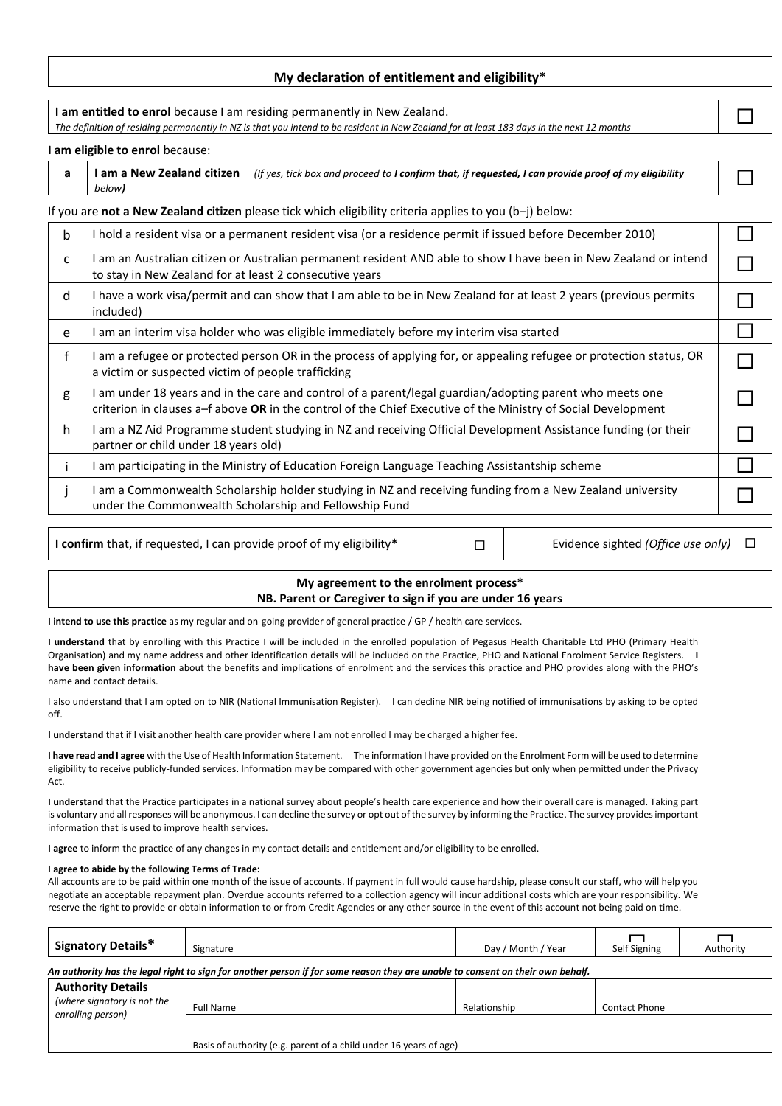### **My declaration of entitlement and eligibility\***

| I am entitled to enrol because I am residing permanently in New Zealand.<br>The definition of residing permanently in NZ is that you intend to be resident in New Zealand for at least 183 days in the next 12 months |                                                                                                                                                                                                                           |  |  |  |  |
|-----------------------------------------------------------------------------------------------------------------------------------------------------------------------------------------------------------------------|---------------------------------------------------------------------------------------------------------------------------------------------------------------------------------------------------------------------------|--|--|--|--|
|                                                                                                                                                                                                                       | I am eligible to enrol because:                                                                                                                                                                                           |  |  |  |  |
| a                                                                                                                                                                                                                     | I am a New Zealand citizen<br>(If yes, tick box and proceed to I confirm that, if requested, I can provide proof of my eligibility<br>below)                                                                              |  |  |  |  |
|                                                                                                                                                                                                                       | If you are not a New Zealand citizen please tick which eligibility criteria applies to you (b-j) below:                                                                                                                   |  |  |  |  |
| b                                                                                                                                                                                                                     | I hold a resident visa or a permanent resident visa (or a residence permit if issued before December 2010)                                                                                                                |  |  |  |  |
| c                                                                                                                                                                                                                     | I am an Australian citizen or Australian permanent resident AND able to show I have been in New Zealand or intend<br>to stay in New Zealand for at least 2 consecutive years                                              |  |  |  |  |
| d                                                                                                                                                                                                                     | I have a work visa/permit and can show that I am able to be in New Zealand for at least 2 years (previous permits<br>included)                                                                                            |  |  |  |  |
| e                                                                                                                                                                                                                     | I am an interim visa holder who was eligible immediately before my interim visa started                                                                                                                                   |  |  |  |  |
| f                                                                                                                                                                                                                     | I am a refugee or protected person OR in the process of applying for, or appealing refugee or protection status, OR<br>a victim or suspected victim of people trafficking                                                 |  |  |  |  |
| g                                                                                                                                                                                                                     | I am under 18 years and in the care and control of a parent/legal guardian/adopting parent who meets one<br>criterion in clauses a-f above OR in the control of the Chief Executive of the Ministry of Social Development |  |  |  |  |
| h                                                                                                                                                                                                                     | I am a NZ Aid Programme student studying in NZ and receiving Official Development Assistance funding (or their<br>partner or child under 18 years old)                                                                    |  |  |  |  |
|                                                                                                                                                                                                                       | I am participating in the Ministry of Education Foreign Language Teaching Assistantship scheme                                                                                                                            |  |  |  |  |
|                                                                                                                                                                                                                       | I am a Commonwealth Scholarship holder studying in NZ and receiving funding from a New Zealand university<br>under the Commonwealth Scholarship and Fellowship Fund                                                       |  |  |  |  |

**I confirm** that, if requested, I can provide proof of my eligibility<sup>\*</sup> □ Fvidence sighted *(Office use only)* □

#### **My agreement to the enrolment process\* NB. Parent or Caregiver to sign if you are under 16 years**

**I intend to use this practice** as my regular and on-going provider of general practice / GP / health care services.

I understand that by enrolling with this Practice I will be included in the enrolled population of Pegasus Health Charitable Ltd PHO (Primary Health Organisation) and my name address and other identification details will be included on the Practice, PHO and National Enrolment Service Registers. **I have been given information** about the benefits and implications of enrolment and the services this practice and PHO provides along with the PHO's name and contact details.

I also understand that I am opted on to NIR (National Immunisation Register). I can decline NIR being notified of immunisations by asking to be opted off.

**I understand** that if I visit another health care provider where I am not enrolled I may be charged a higher fee.

**I have read and I agree** with the Use of Health Information Statement. The information I have provided on the Enrolment Form will be used to determine eligibility to receive publicly-funded services. Information may be compared with other government agencies but only when permitted under the Privacy Act.

**I understand** that the Practice participates in a national survey about people's health care experience and how their overall care is managed. Taking part is voluntary and all responses will be anonymous. I can decline the survey or opt out of the survey by informing the Practice. The survey provides important information that is used to improve health services.

**I agree** to inform the practice of any changes in my contact details and entitlement and/or eligibility to be enrolled.

#### **I agree to abide by the following Terms of Trade:**

All accounts are to be paid within one month of the issue of accounts. If payment in full would cause hardship, please consult our staff, who will help you negotiate an acceptable repayment plan. Overdue accounts referred to a collection agency will incur additional costs which are your responsibility. We reserve the right to provide or obtain information to or from Credit Agencies or any other source in the event of this account not being paid on time.

| <b>Signatory Details*</b>                                                                                                      | Signature                                                         | Day / Month / Year | Self Signing         | Authority |  |  |
|--------------------------------------------------------------------------------------------------------------------------------|-------------------------------------------------------------------|--------------------|----------------------|-----------|--|--|
| An authority has the legal right to sign for another person if for some reason they are unable to consent on their own behalf. |                                                                   |                    |                      |           |  |  |
| <b>Authority Details</b><br>(where signatory is not the                                                                        | Full Name                                                         | Relationship       | <b>Contact Phone</b> |           |  |  |
| enrolling person)                                                                                                              | Basis of authority (e.g. parent of a child under 16 years of age) |                    |                      |           |  |  |